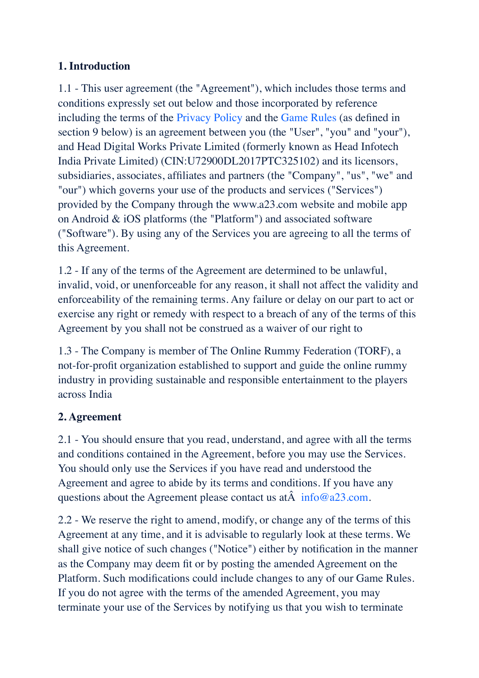## **1. Introduction**

1.1 - This user agreement (the "Agreement"), which includes those terms and conditions expressly set out below and those incorporated by reference including the terms of the Privacy Policy and the Game Rules (as defined in section 9 below) is an agreement between you (the "User", "you" and "your"), and Head Digital Works Private Limited (formerly known as Head Infotech India Private Limited) (CIN:U72900DL2017PTC325102) and its licensors, subsidiaries, associates, affiliates and partners (the "Company", "us", "we" and "our") which governs your use of the products and services ("Services") provided by the Company through the www.a23.com website and mobile app on Android & iOS platforms (the "Platform") and associated software ("Software"). By using any of the Services you are agreeing to all the terms of this Agreement.

1.2 - If any of the terms of the Agreement are determined to be unlawful, invalid, void, or unenforceable for any reason, it shall not affect the validity and enforceability of the remaining terms. Any failure or delay on our part to act or exercise any right or remedy with respect to a breach of any of the terms of this Agreement by you shall not be construed as a waiver of our right to

1.3 - The Company is member of The Online Rummy Federation (TORF), a not-for-profit organization established to support and guide the online rummy industry in providing sustainable and responsible entertainment to the players across India

## **2. Agreement**

2.1 - You should ensure that you read, understand, and agree with all the terms and conditions contained in the Agreement, before you may use the Services. You should only use the Services if you have read and understood the Agreement and agree to abide by its terms and conditions. If you have any questions about the Agreement please contact us at  $\hat{A}$  info@a23.com.

2.2 - We reserve the right to amend, modify, or change any of the terms of this Agreement at any time, and it is advisable to regularly look at these terms. We shall give notice of such changes ("Notice") either by notification in the manner as the Company may deem fit or by posting the amended Agreement on the Platform. Such modifications could include changes to any of our Game Rules. If you do not agree with the terms of the amended Agreement, you may terminate your use of the Services by notifying us that you wish to terminate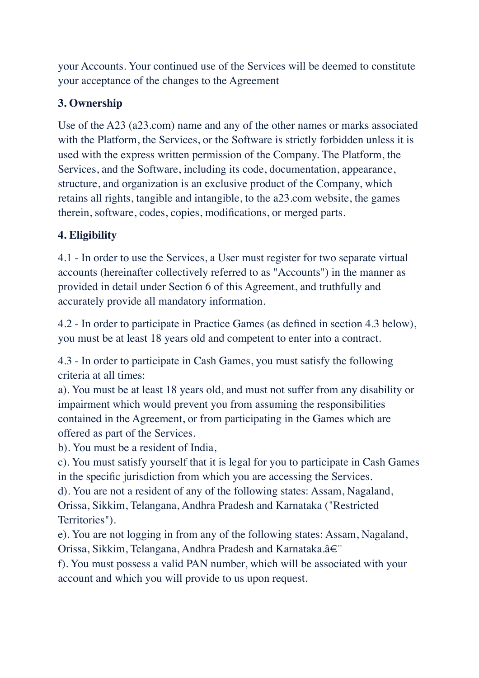your Accounts. Your continued use of the Services will be deemed to constitute your acceptance of the changes to the Agreement

# **3. Ownership**

Use of the A23 (a23.com) name and any of the other names or marks associated with the Platform, the Services, or the Software is strictly forbidden unless it is used with the express written permission of the Company. The Platform, the Services, and the Software, including its code, documentation, appearance, structure, and organization is an exclusive product of the Company, which retains all rights, tangible and intangible, to the a23.com website, the games therein, software, codes, copies, modifications, or merged parts.

# **4. Eligibility**

4.1 - In order to use the Services, a User must register for two separate virtual accounts (hereinafter collectively referred to as "Accounts") in the manner as provided in detail under Section 6 of this Agreement, and truthfully and accurately provide all mandatory information.

4.2 - In order to participate in Practice Games (as defined in section 4.3 below), you must be at least 18 years old and competent to enter into a contract.

4.3 - In order to participate in Cash Games, you must satisfy the following criteria at all times:

a). You must be at least 18 years old, and must not suffer from any disability or impairment which would prevent you from assuming the responsibilities contained in the Agreement, or from participating in the Games which are offered as part of the Services.

b). You must be a resident of India,

c). You must satisfy yourself that it is legal for you to participate in Cash Games in the specific jurisdiction from which you are accessing the Services.

d). You are not a resident of any of the following states: Assam, Nagaland, Orissa, Sikkim, Telangana, Andhra Pradesh and Karnataka ("Restricted Territories").

e). You are not logging in from any of the following states: Assam, Nagaland, Orissa, Sikkim, Telangana, Andhra Pradesh and Karnataka.â€¨

f). You must possess a valid PAN number, which will be associated with your account and which you will provide to us upon request.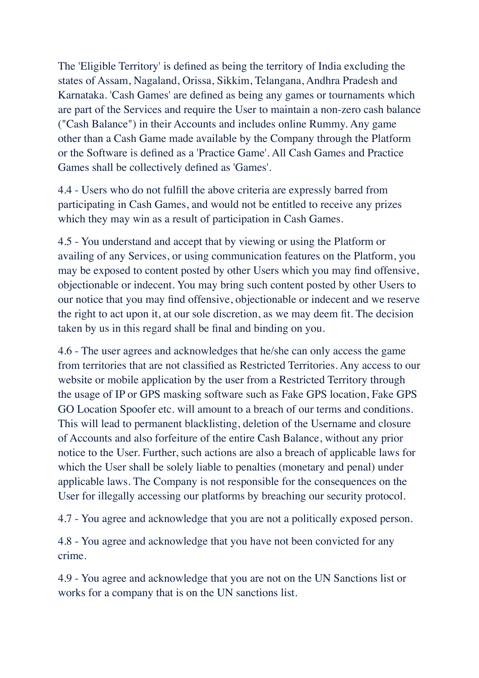The 'Eligible Territory' is defined as being the territory of India excluding the states of Assam, Nagaland, Orissa, Sikkim, Telangana, Andhra Pradesh and Karnataka. 'Cash Games' are defined as being any games or tournaments which are part of the Services and require the User to maintain a non-zero cash balance ("Cash Balance") in their Accounts and includes online Rummy. Any game other than a Cash Game made available by the Company through the Platform or the Software is defined as a 'Practice Game'. All Cash Games and Practice Games shall be collectively defined as 'Games'.

4.4 - Users who do not fulfill the above criteria are expressly barred from participating in Cash Games, and would not be entitled to receive any prizes which they may win as a result of participation in Cash Games.

4.5 - You understand and accept that by viewing or using the Platform or availing of any Services, or using communication features on the Platform, you may be exposed to content posted by other Users which you may find offensive, objectionable or indecent. You may bring such content posted by other Users to our notice that you may find offensive, objectionable or indecent and we reserve the right to act upon it, at our sole discretion, as we may deem fit. The decision taken by us in this regard shall be final and binding on you.

4.6 - The user agrees and acknowledges that he/she can only access the game from territories that are not classified as Restricted Territories. Any access to our website or mobile application by the user from a Restricted Territory through the usage of IP or GPS masking software such as Fake GPS location, Fake GPS GO Location Spoofer etc. will amount to a breach of our terms and conditions. This will lead to permanent blacklisting, deletion of the Username and closure of Accounts and also forfeiture of the entire Cash Balance, without any prior notice to the User. Further, such actions are also a breach of applicable laws for which the User shall be solely liable to penalties (monetary and penal) under applicable laws. The Company is not responsible for the consequences on the User for illegally accessing our platforms by breaching our security protocol.

4.7 - You agree and acknowledge that you are not a politically exposed person.

4.8 - You agree and acknowledge that you have not been convicted for any crime.

4.9 - You agree and acknowledge that you are not on the UN Sanctions list or works for a company that is on the UN sanctions list.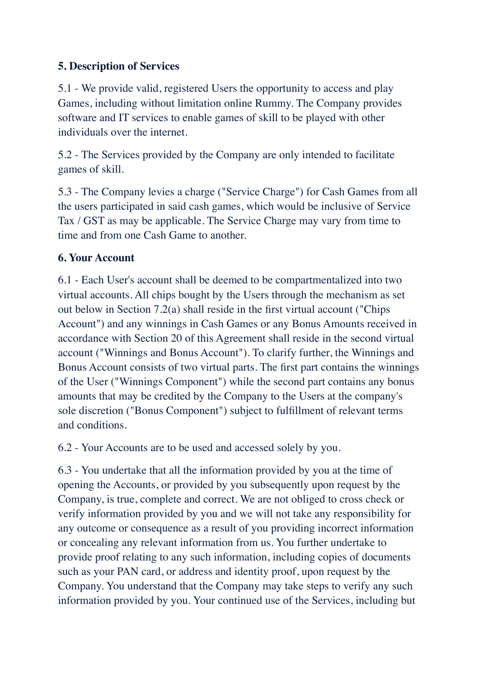## **5. Description of Services**

5.1 - We provide valid, registered Users the opportunity to access and play Games, including without limitation online Rummy. The Company provides software and IT services to enable games of skill to be played with other individuals over the internet.

5.2 - The Services provided by the Company are only intended to facilitate games of skill.

5.3 - The Company levies a charge ("Service Charge") for Cash Games from all the users participated in said cash games, which would be inclusive of Service Tax / GST as may be applicable. The Service Charge may vary from time to time and from one Cash Game to another.

## **6. Your Account**

6.1 - Each User's account shall be deemed to be compartmentalized into two virtual accounts. All chips bought by the Users through the mechanism as set out below in Section 7.2(a) shall reside in the first virtual account ("Chips Account") and any winnings in Cash Games or any Bonus Amounts received in accordance with Section 20 of this Agreement shall reside in the second virtual account ("Winnings and Bonus Account"). To clarify further, the Winnings and Bonus Account consists of two virtual parts. The first part contains the winnings of the User ("Winnings Component") while the second part contains any bonus amounts that may be credited by the Company to the Users at the company's sole discretion ("Bonus Component") subject to fulfillment of relevant terms and conditions.

6.2 - Your Accounts are to be used and accessed solely by you.

6.3 - You undertake that all the information provided by you at the time of opening the Accounts, or provided by you subsequently upon request by the Company, is true, complete and correct. We are not obliged to cross check or verify information provided by you and we will not take any responsibility for any outcome or consequence as a result of you providing incorrect information or concealing any relevant information from us. You further undertake to provide proof relating to any such information, including copies of documents such as your PAN card, or address and identity proof, upon request by the Company. You understand that the Company may take steps to verify any such information provided by you. Your continued use of the Services, including but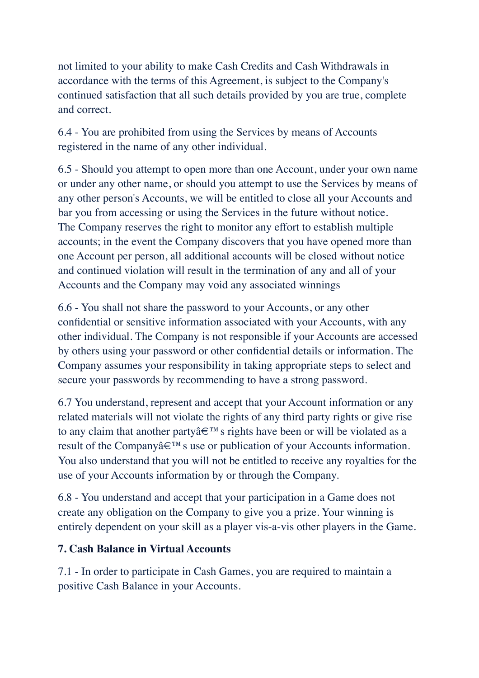not limited to your ability to make Cash Credits and Cash Withdrawals in accordance with the terms of this Agreement, is subject to the Company's continued satisfaction that all such details provided by you are true, complete and correct.

6.4 - You are prohibited from using the Services by means of Accounts registered in the name of any other individual.

6.5 - Should you attempt to open more than one Account, under your own name or under any other name, or should you attempt to use the Services by means of any other person's Accounts, we will be entitled to close all your Accounts and bar you from accessing or using the Services in the future without notice. The Company reserves the right to monitor any effort to establish multiple accounts; in the event the Company discovers that you have opened more than one Account per person, all additional accounts will be closed without notice and continued violation will result in the termination of any and all of your Accounts and the Company may void any associated winnings

6.6 - You shall not share the password to your Accounts, or any other confidential or sensitive information associated with your Accounts, with any other individual. The Company is not responsible if your Accounts are accessed by others using your password or other confidential details or information. The Company assumes your responsibility in taking appropriate steps to select and secure your passwords by recommending to have a strong password.

6.7 You understand, represent and accept that your Account information or any related materials will not violate the rights of any third party rights or give rise to any claim that another partyâ€™s rights have been or will be violated as a result of the Companyâ€™s use or publication of your Accounts information. You also understand that you will not be entitled to receive any royalties for the use of your Accounts information by or through the Company.

6.8 - You understand and accept that your participation in a Game does not create any obligation on the Company to give you a prize. Your winning is entirely dependent on your skill as a player vis-a-vis other players in the Game.

## **7. Cash Balance in Virtual Accounts**

7.1 - In order to participate in Cash Games, you are required to maintain a positive Cash Balance in your Accounts.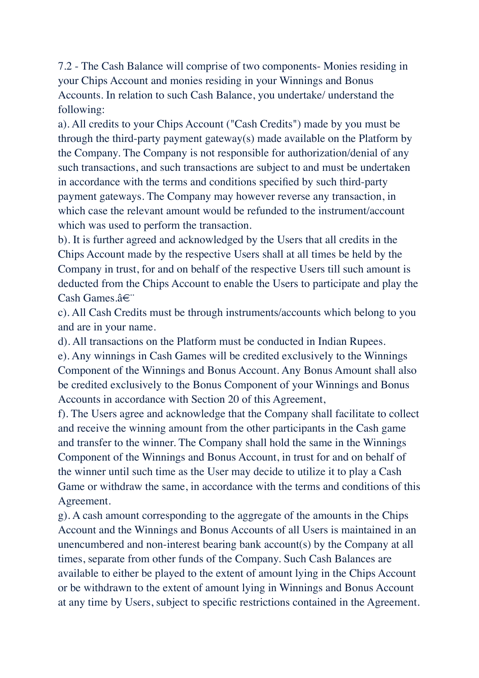7.2 - The Cash Balance will comprise of two components- Monies residing in your Chips Account and monies residing in your Winnings and Bonus Accounts. In relation to such Cash Balance, you undertake/ understand the following:

a). All credits to your Chips Account ("Cash Credits") made by you must be through the third-party payment gateway(s) made available on the Platform by the Company. The Company is not responsible for authorization/denial of any such transactions, and such transactions are subject to and must be undertaken in accordance with the terms and conditions specified by such third-party payment gateways. The Company may however reverse any transaction, in which case the relevant amount would be refunded to the instrument/account which was used to perform the transaction.

b). It is further agreed and acknowledged by the Users that all credits in the Chips Account made by the respective Users shall at all times be held by the Company in trust, for and on behalf of the respective Users till such amount is deducted from the Chips Account to enable the Users to participate and play the Cash Games.â€¨

c). All Cash Credits must be through instruments/accounts which belong to you and are in your name.

d). All transactions on the Platform must be conducted in Indian Rupees.

e). Any winnings in Cash Games will be credited exclusively to the Winnings Component of the Winnings and Bonus Account. Any Bonus Amount shall also be credited exclusively to the Bonus Component of your Winnings and Bonus Accounts in accordance with Section 20 of this Agreement,

f). The Users agree and acknowledge that the Company shall facilitate to collect and receive the winning amount from the other participants in the Cash game and transfer to the winner. The Company shall hold the same in the Winnings Component of the Winnings and Bonus Account, in trust for and on behalf of the winner until such time as the User may decide to utilize it to play a Cash Game or withdraw the same, in accordance with the terms and conditions of this Agreement.

g). A cash amount corresponding to the aggregate of the amounts in the Chips Account and the Winnings and Bonus Accounts of all Users is maintained in an unencumbered and non-interest bearing bank account(s) by the Company at all times, separate from other funds of the Company. Such Cash Balances are available to either be played to the extent of amount lying in the Chips Account or be withdrawn to the extent of amount lying in Winnings and Bonus Account at any time by Users, subject to specific restrictions contained in the Agreement.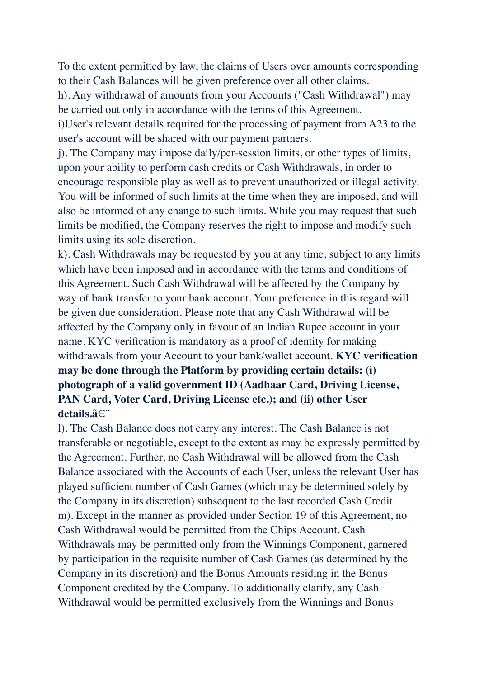To the extent permitted by law, the claims of Users over amounts corresponding to their Cash Balances will be given preference over all other claims.

h). Any withdrawal of amounts from your Accounts ("Cash Withdrawal") may be carried out only in accordance with the terms of this Agreement.

i)User's relevant details required for the processing of payment from A23 to the user's account will be shared with our payment partners.

j). The Company may impose daily/per-session limits, or other types of limits, upon your ability to perform cash credits or Cash Withdrawals, in order to encourage responsible play as well as to prevent unauthorized or illegal activity. You will be informed of such limits at the time when they are imposed, and will also be informed of any change to such limits. While you may request that such limits be modified, the Company reserves the right to impose and modify such limits using its sole discretion.

k). Cash Withdrawals may be requested by you at any time, subject to any limits which have been imposed and in accordance with the terms and conditions of this Agreement. Such Cash Withdrawal will be affected by the Company by way of bank transfer to your bank account. Your preference in this regard will be given due consideration. Please note that any Cash Withdrawal will be affected by the Company only in favour of an Indian Rupee account in your name. KYC verification is mandatory as a proof of identity for making withdrawals from your Account to your bank/wallet account. **KYC verification may be done through the Platform by providing certain details: (i) photograph of a valid government ID (Aadhaar Card, Driving License, PAN Card, Voter Card, Driving License etc.); and (ii) other User details.â€¨**

l). The Cash Balance does not carry any interest. The Cash Balance is not transferable or negotiable, except to the extent as may be expressly permitted by the Agreement. Further, no Cash Withdrawal will be allowed from the Cash Balance associated with the Accounts of each User, unless the relevant User has played sufficient number of Cash Games (which may be determined solely by the Company in its discretion) subsequent to the last recorded Cash Credit. m). Except in the manner as provided under Section 19 of this Agreement, no Cash Withdrawal would be permitted from the Chips Account. Cash Withdrawals may be permitted only from the Winnings Component, garnered by participation in the requisite number of Cash Games (as determined by the Company in its discretion) and the Bonus Amounts residing in the Bonus Component credited by the Company. To additionally clarify, any Cash Withdrawal would be permitted exclusively from the Winnings and Bonus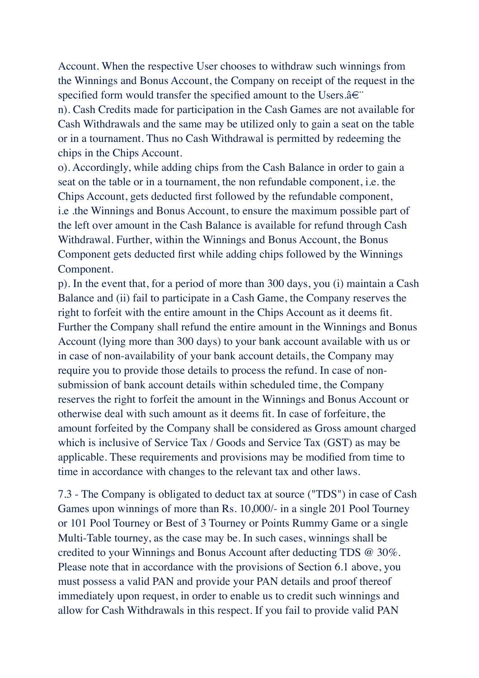Account. When the respective User chooses to withdraw such winnings from the Winnings and Bonus Account, the Company on receipt of the request in the specified form would transfer the specified amount to the Users.â€

n). Cash Credits made for participation in the Cash Games are not available for Cash Withdrawals and the same may be utilized only to gain a seat on the table or in a tournament. Thus no Cash Withdrawal is permitted by redeeming the chips in the Chips Account.

o). Accordingly, while adding chips from the Cash Balance in order to gain a seat on the table or in a tournament, the non refundable component, i.e. the Chips Account, gets deducted first followed by the refundable component, i.e .the Winnings and Bonus Account, to ensure the maximum possible part of the left over amount in the Cash Balance is available for refund through Cash Withdrawal. Further, within the Winnings and Bonus Account, the Bonus Component gets deducted first while adding chips followed by the Winnings Component.

p). In the event that, for a period of more than 300 days, you (i) maintain a Cash Balance and (ii) fail to participate in a Cash Game, the Company reserves the right to forfeit with the entire amount in the Chips Account as it deems fit. Further the Company shall refund the entire amount in the Winnings and Bonus Account (lying more than 300 days) to your bank account available with us or in case of non-availability of your bank account details, the Company may require you to provide those details to process the refund. In case of nonsubmission of bank account details within scheduled time, the Company reserves the right to forfeit the amount in the Winnings and Bonus Account or otherwise deal with such amount as it deems fit. In case of forfeiture, the amount forfeited by the Company shall be considered as Gross amount charged which is inclusive of Service Tax / Goods and Service Tax (GST) as may be applicable. These requirements and provisions may be modified from time to time in accordance with changes to the relevant tax and other laws.

7.3 - The Company is obligated to deduct tax at source ("TDS") in case of Cash Games upon winnings of more than Rs. 10,000/- in a single 201 Pool Tourney or 101 Pool Tourney or Best of 3 Tourney or Points Rummy Game or a single Multi-Table tourney, as the case may be. In such cases, winnings shall be credited to your Winnings and Bonus Account after deducting TDS @ 30%. Please note that in accordance with the provisions of Section 6.1 above, you must possess a valid PAN and provide your PAN details and proof thereof immediately upon request, in order to enable us to credit such winnings and allow for Cash Withdrawals in this respect. If you fail to provide valid PAN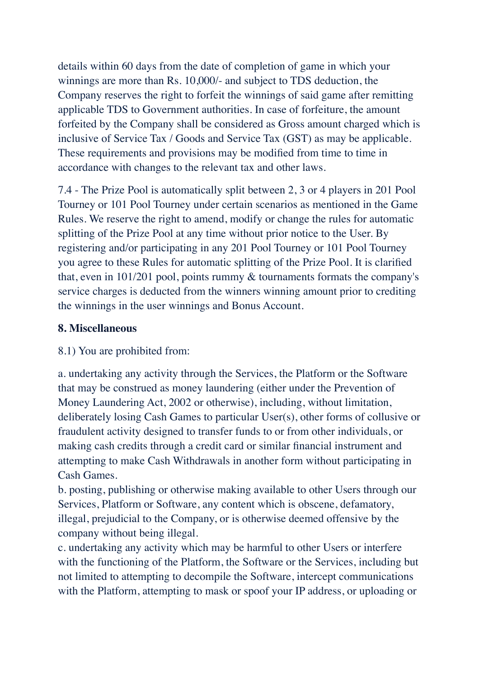details within 60 days from the date of completion of game in which your winnings are more than Rs. 10,000/- and subject to TDS deduction, the Company reserves the right to forfeit the winnings of said game after remitting applicable TDS to Government authorities. In case of forfeiture, the amount forfeited by the Company shall be considered as Gross amount charged which is inclusive of Service Tax / Goods and Service Tax (GST) as may be applicable. These requirements and provisions may be modified from time to time in accordance with changes to the relevant tax and other laws.

7.4 - The Prize Pool is automatically split between 2, 3 or 4 players in 201 Pool Tourney or 101 Pool Tourney under certain scenarios as mentioned in the Game Rules. We reserve the right to amend, modify or change the rules for automatic splitting of the Prize Pool at any time without prior notice to the User. By registering and/or participating in any 201 Pool Tourney or 101 Pool Tourney you agree to these Rules for automatic splitting of the Prize Pool. It is clarified that, even in 101/201 pool, points rummy & tournaments formats the company's service charges is deducted from the winners winning amount prior to crediting the winnings in the user winnings and Bonus Account.

## **8. Miscellaneous**

## 8.1) You are prohibited from:

a. undertaking any activity through the Services, the Platform or the Software that may be construed as money laundering (either under the Prevention of Money Laundering Act, 2002 or otherwise), including, without limitation, deliberately losing Cash Games to particular User(s), other forms of collusive or fraudulent activity designed to transfer funds to or from other individuals, or making cash credits through a credit card or similar financial instrument and attempting to make Cash Withdrawals in another form without participating in Cash Games.

b. posting, publishing or otherwise making available to other Users through our Services, Platform or Software, any content which is obscene, defamatory, illegal, prejudicial to the Company, or is otherwise deemed offensive by the company without being illegal.

c. undertaking any activity which may be harmful to other Users or interfere with the functioning of the Platform, the Software or the Services, including but not limited to attempting to decompile the Software, intercept communications with the Platform, attempting to mask or spoof your IP address, or uploading or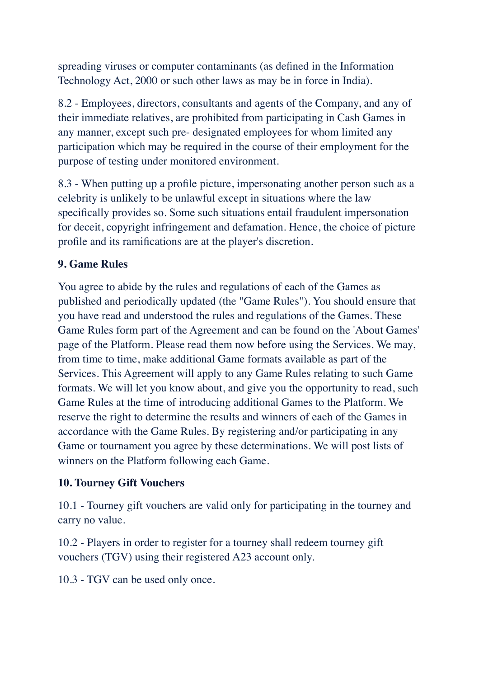spreading viruses or computer contaminants (as defined in the Information Technology Act, 2000 or such other laws as may be in force in India).

8.2 - Employees, directors, consultants and agents of the Company, and any of their immediate relatives, are prohibited from participating in Cash Games in any manner, except such pre- designated employees for whom limited any participation which may be required in the course of their employment for the purpose of testing under monitored environment.

8.3 - When putting up a profile picture, impersonating another person such as a celebrity is unlikely to be unlawful except in situations where the law specifically provides so. Some such situations entail fraudulent impersonation for deceit, copyright infringement and defamation. Hence, the choice of picture profile and its ramifications are at the player's discretion.

## **9. Game Rules**

You agree to abide by the rules and regulations of each of the Games as published and periodically updated (the "Game Rules"). You should ensure that you have read and understood the rules and regulations of the Games. These Game Rules form part of the Agreement and can be found on the 'About Games' page of the Platform. Please read them now before using the Services. We may, from time to time, make additional Game formats available as part of the Services. This Agreement will apply to any Game Rules relating to such Game formats. We will let you know about, and give you the opportunity to read, such Game Rules at the time of introducing additional Games to the Platform. We reserve the right to determine the results and winners of each of the Games in accordance with the Game Rules. By registering and/or participating in any Game or tournament you agree by these determinations. We will post lists of winners on the Platform following each Game.

## **10. Tourney Gift Vouchers**

10.1 - Tourney gift vouchers are valid only for participating in the tourney and carry no value.

10.2 - Players in order to register for a tourney shall redeem tourney gift vouchers (TGV) using their registered A23 account only.

10.3 - TGV can be used only once.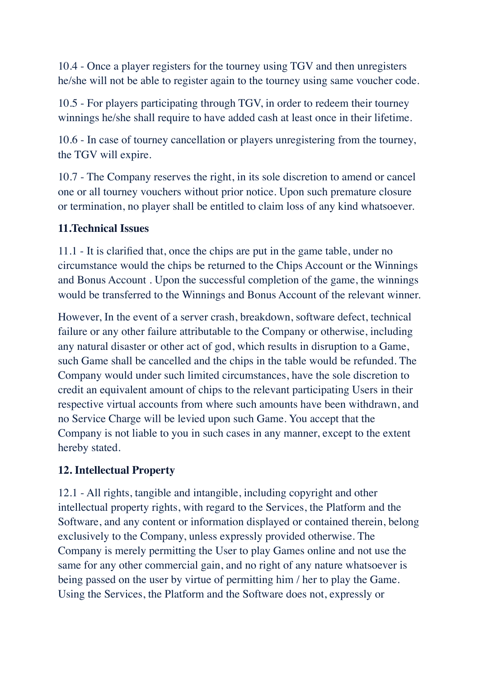10.4 - Once a player registers for the tourney using TGV and then unregisters he/she will not be able to register again to the tourney using same voucher code.

10.5 - For players participating through TGV, in order to redeem their tourney winnings he/she shall require to have added cash at least once in their lifetime.

10.6 - In case of tourney cancellation or players unregistering from the tourney, the TGV will expire.

10.7 - The Company reserves the right, in its sole discretion to amend or cancel one or all tourney vouchers without prior notice. Upon such premature closure or termination, no player shall be entitled to claim loss of any kind whatsoever.

#### **11.Technical Issues**

11.1 - It is clarified that, once the chips are put in the game table, under no circumstance would the chips be returned to the Chips Account or the Winnings and Bonus Account . Upon the successful completion of the game, the winnings would be transferred to the Winnings and Bonus Account of the relevant winner.

However, In the event of a server crash, breakdown, software defect, technical failure or any other failure attributable to the Company or otherwise, including any natural disaster or other act of god, which results in disruption to a Game, such Game shall be cancelled and the chips in the table would be refunded. The Company would under such limited circumstances, have the sole discretion to credit an equivalent amount of chips to the relevant participating Users in their respective virtual accounts from where such amounts have been withdrawn, and no Service Charge will be levied upon such Game. You accept that the Company is not liable to you in such cases in any manner, except to the extent hereby stated.

## **12. Intellectual Property**

12.1 - All rights, tangible and intangible, including copyright and other intellectual property rights, with regard to the Services, the Platform and the Software, and any content or information displayed or contained therein, belong exclusively to the Company, unless expressly provided otherwise. The Company is merely permitting the User to play Games online and not use the same for any other commercial gain, and no right of any nature whatsoever is being passed on the user by virtue of permitting him / her to play the Game. Using the Services, the Platform and the Software does not, expressly or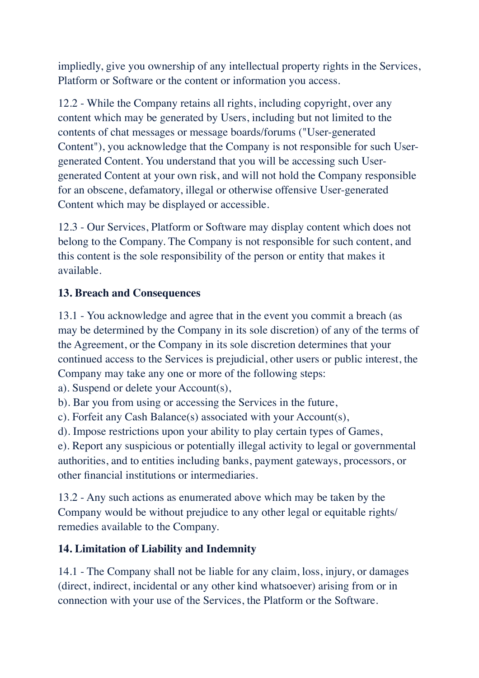impliedly, give you ownership of any intellectual property rights in the Services, Platform or Software or the content or information you access.

12.2 - While the Company retains all rights, including copyright, over any content which may be generated by Users, including but not limited to the contents of chat messages or message boards/forums ("User-generated Content"), you acknowledge that the Company is not responsible for such Usergenerated Content. You understand that you will be accessing such Usergenerated Content at your own risk, and will not hold the Company responsible for an obscene, defamatory, illegal or otherwise offensive User-generated Content which may be displayed or accessible.

12.3 - Our Services, Platform or Software may display content which does not belong to the Company. The Company is not responsible for such content, and this content is the sole responsibility of the person or entity that makes it available.

## **13. Breach and Consequences**

13.1 - You acknowledge and agree that in the event you commit a breach (as may be determined by the Company in its sole discretion) of any of the terms of the Agreement, or the Company in its sole discretion determines that your continued access to the Services is prejudicial, other users or public interest, the Company may take any one or more of the following steps:

a). Suspend or delete your Account(s),

b). Bar you from using or accessing the Services in the future,

c). Forfeit any Cash Balance(s) associated with your Account(s),

d). Impose restrictions upon your ability to play certain types of Games,

e). Report any suspicious or potentially illegal activity to legal or governmental authorities, and to entities including banks, payment gateways, processors, or other financial institutions or intermediaries.

13.2 - Any such actions as enumerated above which may be taken by the Company would be without prejudice to any other legal or equitable rights/ remedies available to the Company.

# **14. Limitation of Liability and Indemnity**

14.1 - The Company shall not be liable for any claim, loss, injury, or damages (direct, indirect, incidental or any other kind whatsoever) arising from or in connection with your use of the Services, the Platform or the Software.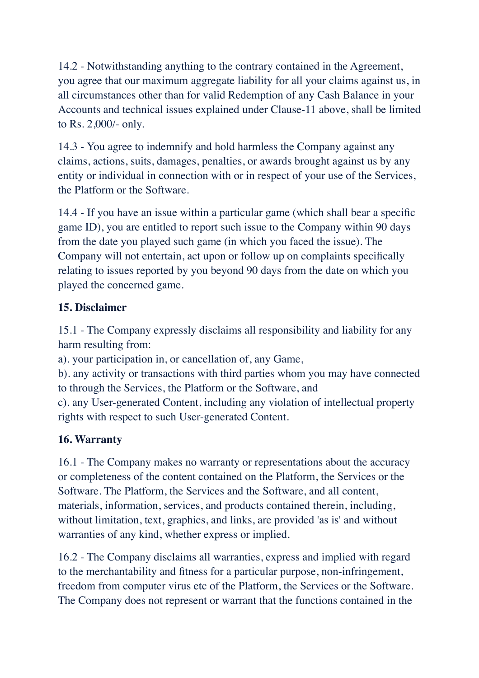14.2 - Notwithstanding anything to the contrary contained in the Agreement, you agree that our maximum aggregate liability for all your claims against us, in all circumstances other than for valid Redemption of any Cash Balance in your Accounts and technical issues explained under Clause-11 above, shall be limited to Rs. 2,000/- only.

14.3 - You agree to indemnify and hold harmless the Company against any claims, actions, suits, damages, penalties, or awards brought against us by any entity or individual in connection with or in respect of your use of the Services, the Platform or the Software.

14.4 - If you have an issue within a particular game (which shall bear a specific game ID), you are entitled to report such issue to the Company within 90 days from the date you played such game (in which you faced the issue). The Company will not entertain, act upon or follow up on complaints specifically relating to issues reported by you beyond 90 days from the date on which you played the concerned game.

## **15. Disclaimer**

15.1 - The Company expressly disclaims all responsibility and liability for any harm resulting from:

a). your participation in, or cancellation of, any Game,

b). any activity or transactions with third parties whom you may have connected to through the Services, the Platform or the Software, and

c). any User-generated Content, including any violation of intellectual property rights with respect to such User-generated Content.

# **16. Warranty**

16.1 - The Company makes no warranty or representations about the accuracy or completeness of the content contained on the Platform, the Services or the Software. The Platform, the Services and the Software, and all content, materials, information, services, and products contained therein, including, without limitation, text, graphics, and links, are provided 'as is' and without warranties of any kind, whether express or implied.

16.2 - The Company disclaims all warranties, express and implied with regard to the merchantability and fitness for a particular purpose, non-infringement, freedom from computer virus etc of the Platform, the Services or the Software. The Company does not represent or warrant that the functions contained in the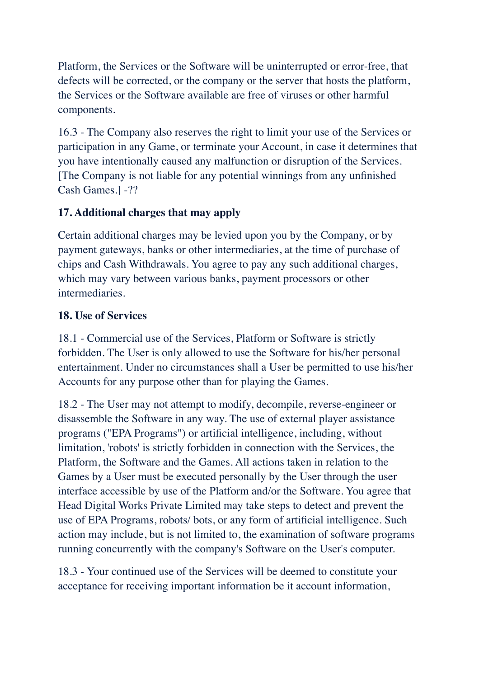Platform, the Services or the Software will be uninterrupted or error-free, that defects will be corrected, or the company or the server that hosts the platform, the Services or the Software available are free of viruses or other harmful components.

16.3 - The Company also reserves the right to limit your use of the Services or participation in any Game, or terminate your Account, in case it determines that you have intentionally caused any malfunction or disruption of the Services. [The Company is not liable for any potential winnings from any unfinished Cash Games.] -??

## **17. Additional charges that may apply**

Certain additional charges may be levied upon you by the Company, or by payment gateways, banks or other intermediaries, at the time of purchase of chips and Cash Withdrawals. You agree to pay any such additional charges, which may vary between various banks, payment processors or other intermediaries.

## **18. Use of Services**

18.1 - Commercial use of the Services, Platform or Software is strictly forbidden. The User is only allowed to use the Software for his/her personal entertainment. Under no circumstances shall a User be permitted to use his/her Accounts for any purpose other than for playing the Games.

18.2 - The User may not attempt to modify, decompile, reverse-engineer or disassemble the Software in any way. The use of external player assistance programs ("EPA Programs") or artificial intelligence, including, without limitation, 'robots' is strictly forbidden in connection with the Services, the Platform, the Software and the Games. All actions taken in relation to the Games by a User must be executed personally by the User through the user interface accessible by use of the Platform and/or the Software. You agree that Head Digital Works Private Limited may take steps to detect and prevent the use of EPA Programs, robots/ bots, or any form of artificial intelligence. Such action may include, but is not limited to, the examination of software programs running concurrently with the company's Software on the User's computer.

18.3 - Your continued use of the Services will be deemed to constitute your acceptance for receiving important information be it account information,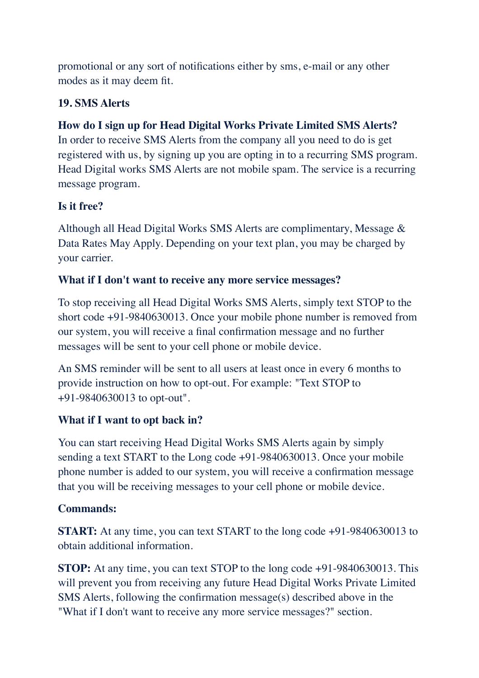promotional or any sort of notifications either by sms, e-mail or any other modes as it may deem fit.

## **19. SMS Alerts**

## **How do I sign up for Head Digital Works Private Limited SMS Alerts?**

In order to receive SMS Alerts from the company all you need to do is get registered with us, by signing up you are opting in to a recurring SMS program. Head Digital works SMS Alerts are not mobile spam. The service is a recurring message program.

## **Is it free?**

Although all Head Digital Works SMS Alerts are complimentary, Message & Data Rates May Apply. Depending on your text plan, you may be charged by your carrier.

#### **What if I don't want to receive any more service messages?**

To stop receiving all Head Digital Works SMS Alerts, simply text STOP to the short code +91-9840630013. Once your mobile phone number is removed from our system, you will receive a final confirmation message and no further messages will be sent to your cell phone or mobile device.

An SMS reminder will be sent to all users at least once in every 6 months to provide instruction on how to opt-out. For example: "Text STOP to +91-9840630013 to opt-out".

## **What if I want to opt back in?**

You can start receiving Head Digital Works SMS Alerts again by simply sending a text START to the Long code +91-9840630013. Once your mobile phone number is added to our system, you will receive a confirmation message that you will be receiving messages to your cell phone or mobile device.

## **Commands:**

**START:** At any time, you can text START to the long code  $+91-9840630013$  to obtain additional information.

**STOP:** At any time, you can text STOP to the long code +91-9840630013. This will prevent you from receiving any future Head Digital Works Private Limited SMS Alerts, following the confirmation message(s) described above in the "What if I don't want to receive any more service messages?" section.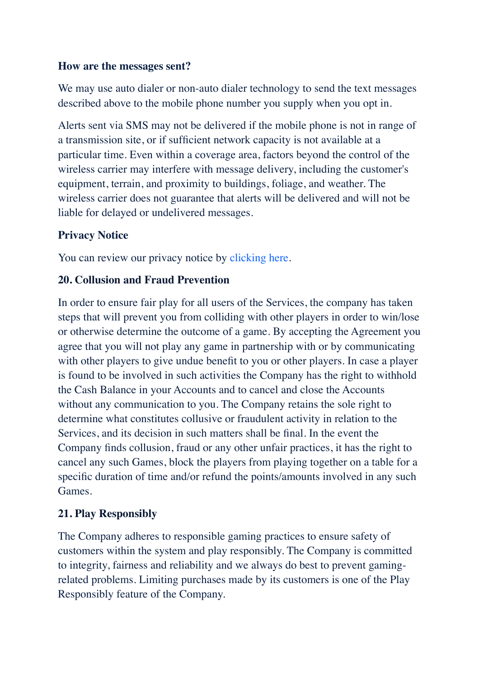#### **How are the messages sent?**

We may use auto dialer or non-auto dialer technology to send the text messages described above to the mobile phone number you supply when you opt in.

Alerts sent via SMS may not be delivered if the mobile phone is not in range of a transmission site, or if sufficient network capacity is not available at a particular time. Even within a coverage area, factors beyond the control of the wireless carrier may interfere with message delivery, including the customer's equipment, terrain, and proximity to buildings, foliage, and weather. The wireless carrier does not guarantee that alerts will be delivered and will not be liable for delayed or undelivered messages.

# **Privacy Notice**

You can review our privacy notice by clicking here.

## **20. Collusion and Fraud Prevention**

In order to ensure fair play for all users of the Services, the company has taken steps that will prevent you from colliding with other players in order to win/lose or otherwise determine the outcome of a game. By accepting the Agreement you agree that you will not play any game in partnership with or by communicating with other players to give undue benefit to you or other players. In case a player is found to be involved in such activities the Company has the right to withhold the Cash Balance in your Accounts and to cancel and close the Accounts without any communication to you. The Company retains the sole right to determine what constitutes collusive or fraudulent activity in relation to the Services, and its decision in such matters shall be final. In the event the Company finds collusion, fraud or any other unfair practices, it has the right to cancel any such Games, block the players from playing together on a table for a specific duration of time and/or refund the points/amounts involved in any such Games.

# **21. Play Responsibly**

The Company adheres to responsible gaming practices to ensure safety of customers within the system and play responsibly. The Company is committed to integrity, fairness and reliability and we always do best to prevent gamingrelated problems. Limiting purchases made by its customers is one of the Play Responsibly feature of the Company.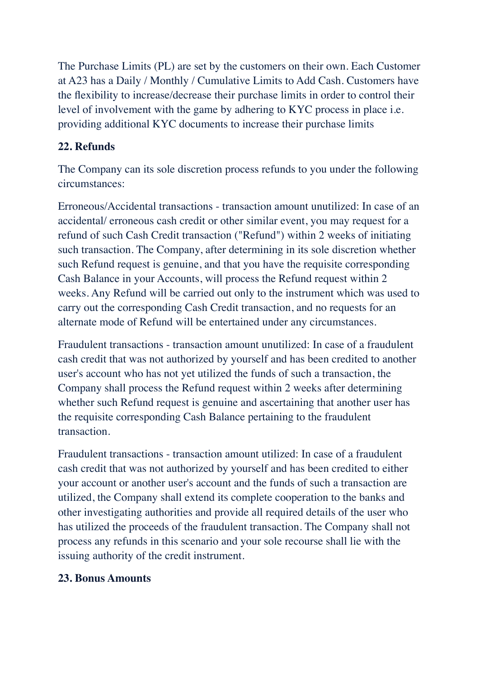The Purchase Limits (PL) are set by the customers on their own. Each Customer at A23 has a Daily / Monthly / Cumulative Limits to Add Cash. Customers have the flexibility to increase/decrease their purchase limits in order to control their level of involvement with the game by adhering to KYC process in place i.e. providing additional KYC documents to increase their purchase limits

## **22. Refunds**

The Company can its sole discretion process refunds to you under the following circumstances:

Erroneous/Accidental transactions - transaction amount unutilized: In case of an accidental/ erroneous cash credit or other similar event, you may request for a refund of such Cash Credit transaction ("Refund") within 2 weeks of initiating such transaction. The Company, after determining in its sole discretion whether such Refund request is genuine, and that you have the requisite corresponding Cash Balance in your Accounts, will process the Refund request within 2 weeks. Any Refund will be carried out only to the instrument which was used to carry out the corresponding Cash Credit transaction, and no requests for an alternate mode of Refund will be entertained under any circumstances.

Fraudulent transactions - transaction amount unutilized: In case of a fraudulent cash credit that was not authorized by yourself and has been credited to another user's account who has not yet utilized the funds of such a transaction, the Company shall process the Refund request within 2 weeks after determining whether such Refund request is genuine and ascertaining that another user has the requisite corresponding Cash Balance pertaining to the fraudulent transaction.

Fraudulent transactions - transaction amount utilized: In case of a fraudulent cash credit that was not authorized by yourself and has been credited to either your account or another user's account and the funds of such a transaction are utilized, the Company shall extend its complete cooperation to the banks and other investigating authorities and provide all required details of the user who has utilized the proceeds of the fraudulent transaction. The Company shall not process any refunds in this scenario and your sole recourse shall lie with the issuing authority of the credit instrument.

#### **23. Bonus Amounts**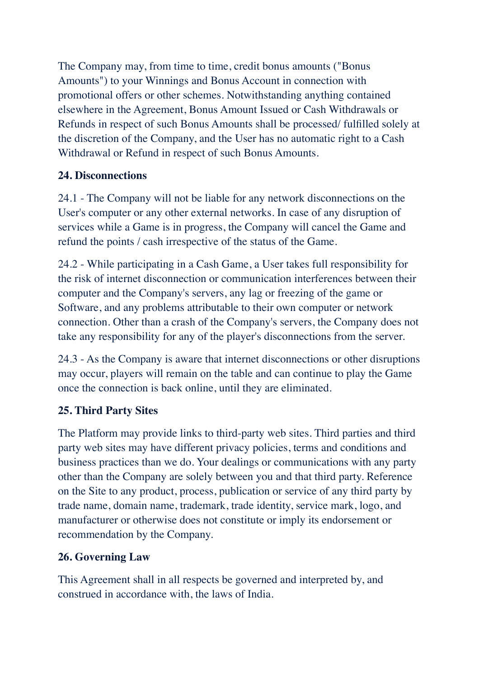The Company may, from time to time, credit bonus amounts ("Bonus Amounts") to your Winnings and Bonus Account in connection with promotional offers or other schemes. Notwithstanding anything contained elsewhere in the Agreement, Bonus Amount Issued or Cash Withdrawals or Refunds in respect of such Bonus Amounts shall be processed/ fulfilled solely at the discretion of the Company, and the User has no automatic right to a Cash Withdrawal or Refund in respect of such Bonus Amounts.

# **24. Disconnections**

24.1 - The Company will not be liable for any network disconnections on the User's computer or any other external networks. In case of any disruption of services while a Game is in progress, the Company will cancel the Game and refund the points / cash irrespective of the status of the Game.

24.2 - While participating in a Cash Game, a User takes full responsibility for the risk of internet disconnection or communication interferences between their computer and the Company's servers, any lag or freezing of the game or Software, and any problems attributable to their own computer or network connection. Other than a crash of the Company's servers, the Company does not take any responsibility for any of the player's disconnections from the server.

24.3 - As the Company is aware that internet disconnections or other disruptions may occur, players will remain on the table and can continue to play the Game once the connection is back online, until they are eliminated.

# **25. Third Party Sites**

The Platform may provide links to third-party web sites. Third parties and third party web sites may have different privacy policies, terms and conditions and business practices than we do. Your dealings or communications with any party other than the Company are solely between you and that third party. Reference on the Site to any product, process, publication or service of any third party by trade name, domain name, trademark, trade identity, service mark, logo, and manufacturer or otherwise does not constitute or imply its endorsement or recommendation by the Company.

# **26. Governing Law**

This Agreement shall in all respects be governed and interpreted by, and construed in accordance with, the laws of India.